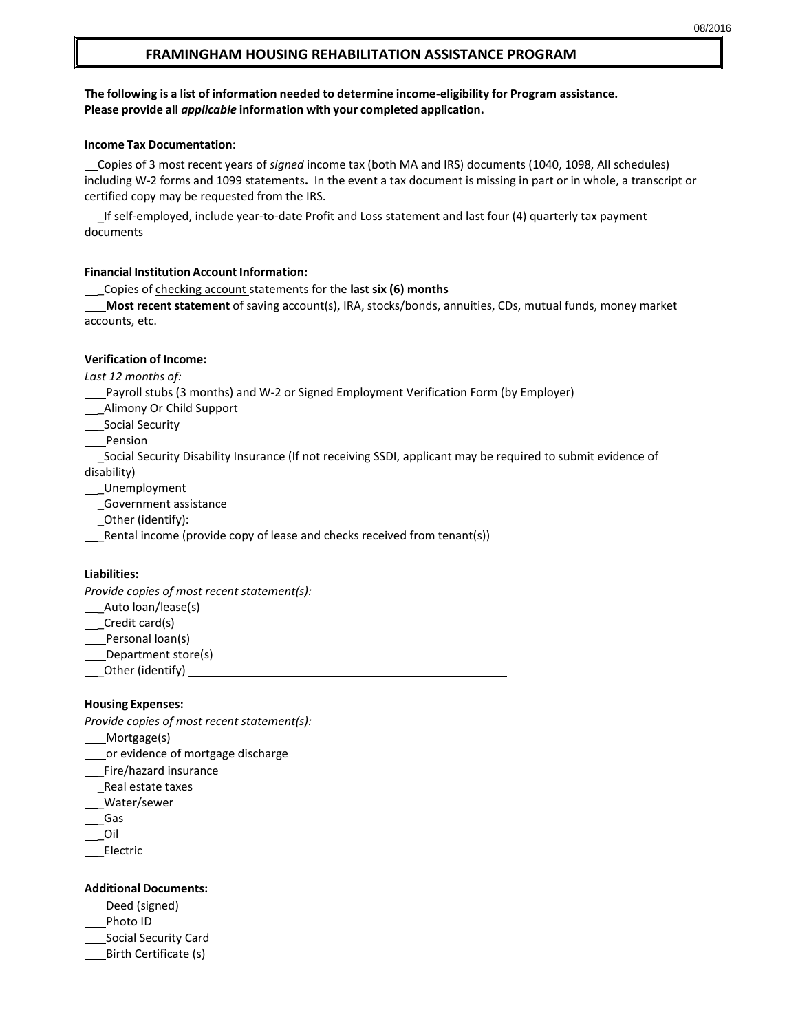## **FRAMINGHAM HOUSING REHABILITATION ASSISTANCE PROGRAM**

### **The following is a list of information needed to determine income-eligibility for Program assistance. Please provide all** *applicable* **information with your completed application.**

### **Income Tax Documentation:**

 Copies of 3 most recent years of *signed* income tax (both MA and IRS) documents (1040, 1098, All schedules) including W-2 forms and 1099 statements**.** In the event a tax document is missing in part or in whole, a transcript or certified copy may be requested from the IRS.

If self-employed, include year-to-date Profit and Loss statement and last four (4) quarterly tax payment documents

#### **Financial Institution Account Information:**

\_Copies of checking account statements for the **last six (6) months**

**Most recent statement** of saving account(s), IRA, stocks/bonds, annuities, CDs, mutual funds, money market accounts, etc.

#### **Verification of Income:**

*Last 12 months of:*

- Payroll stubs (3 months) and W-2 or Signed Employment Verification Form (by Employer)
- \_Alimony Or Child Support
- Social Security
- **Pension**

 \_Social Security Disability Insurance (If not receiving SSDI, applicant may be required to submit evidence of disability)

- \_Unemployment
- \_Government assistance
- \_Other (identify):
- \_Rental income (provide copy of lease and checks received from tenant(s))

### **Liabilities:**

*Provide copies of most recent statement(s):*

- \_ Auto loan/lease(s)
- \_\_Credit card(s)
- Personal loan(s)
- Department store(s)
- \_Other (identify)

### **Housing Expenses:**

*Provide copies of most recent statement(s):*

- \_\_\_\_Mortgage(s)
- or evidence of mortgage discharge
- \_\_Fire/hazard insurance
- \_Real estate taxes
- \_Water/sewer
- \_Gas
- \_Oil
- \_Electric

#### **Additional Documents:**

- Deed (signed)
- Photo ID
- Social Security Card
- Birth Certificate (s)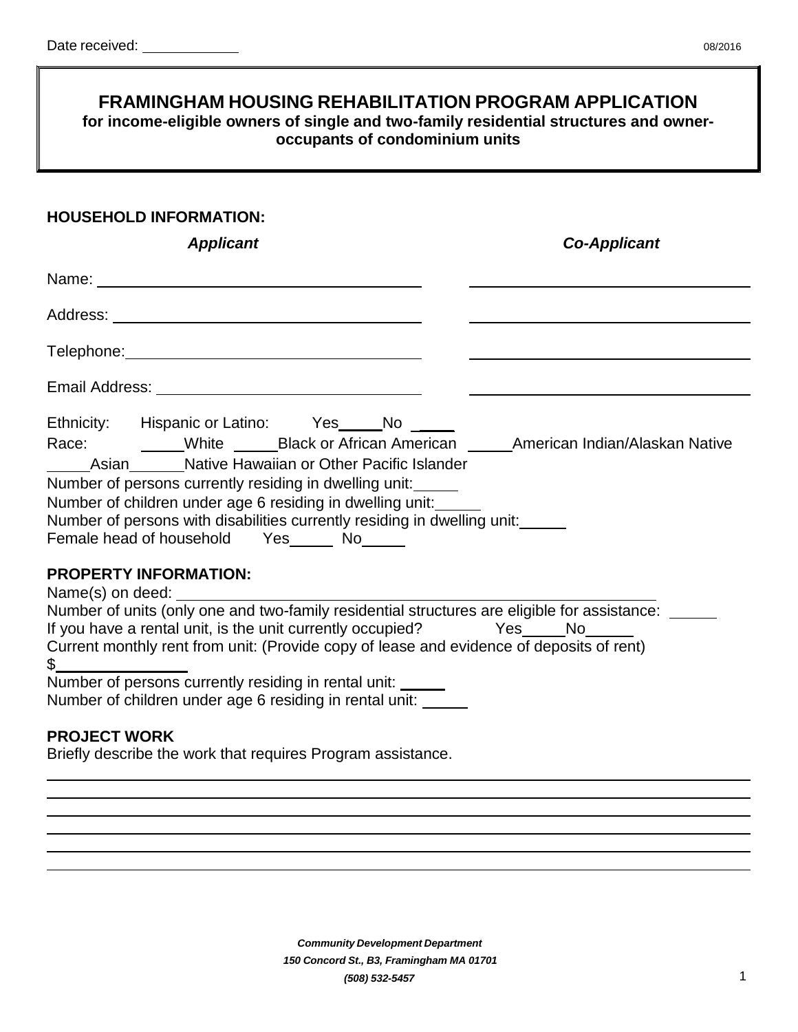# **FRAMINGHAM HOUSING REHABILITATION PROGRAM APPLICATION for income-eligible owners of single and two-family residential structures and owneroccupants of condominium units**

## **HOUSEHOLD INFORMATION:**

| <b>Applicant</b>                                                                                                                                                                                                                                                                                                                                                                                                                                                                                                                           | <b>Co-Applicant</b>                                                                                                                                                                                                            |
|--------------------------------------------------------------------------------------------------------------------------------------------------------------------------------------------------------------------------------------------------------------------------------------------------------------------------------------------------------------------------------------------------------------------------------------------------------------------------------------------------------------------------------------------|--------------------------------------------------------------------------------------------------------------------------------------------------------------------------------------------------------------------------------|
|                                                                                                                                                                                                                                                                                                                                                                                                                                                                                                                                            |                                                                                                                                                                                                                                |
|                                                                                                                                                                                                                                                                                                                                                                                                                                                                                                                                            |                                                                                                                                                                                                                                |
|                                                                                                                                                                                                                                                                                                                                                                                                                                                                                                                                            |                                                                                                                                                                                                                                |
|                                                                                                                                                                                                                                                                                                                                                                                                                                                                                                                                            |                                                                                                                                                                                                                                |
| Ethnicity: Hispanic or Latino: Yes_____No<br>Race: White _____Black or African American ______American Indian/Alaskan Native<br>Asian Mative Hawaiian or Other Pacific Islander<br>Number of persons currently residing in dwelling unit:<br>Number of children under age 6 residing in dwelling unit:<br>Number of persons with disabilities currently residing in dwelling unit:<br>Female head of household Yes ______ No______                                                                                                         |                                                                                                                                                                                                                                |
| <b>PROPERTY INFORMATION:</b><br>Name(s) on deed: Name (s) and the state of the state of the state of the state of the state of the state of the state of the state of the state of the state of the state of the state of the state of the state of the state<br>Number of units (only one and two-family residential structures are eligible for assistance:<br>If you have a rental unit, is the unit currently occupied? Yes<br>Current monthly rent from unit: (Provide copy of lease and evidence of deposits of rent)<br>$\mathbb S$ | No control to the North State of the North State of the North State of the North State of the North State of the North State of the North State of the North State of the North State of the North State of the North State of |
| Number of persons currently residing in rental unit: _____<br>Number of children under age 6 residing in rental unit:                                                                                                                                                                                                                                                                                                                                                                                                                      |                                                                                                                                                                                                                                |

# **PROJECT WORK**

Briefly describe the work that requires Program assistance.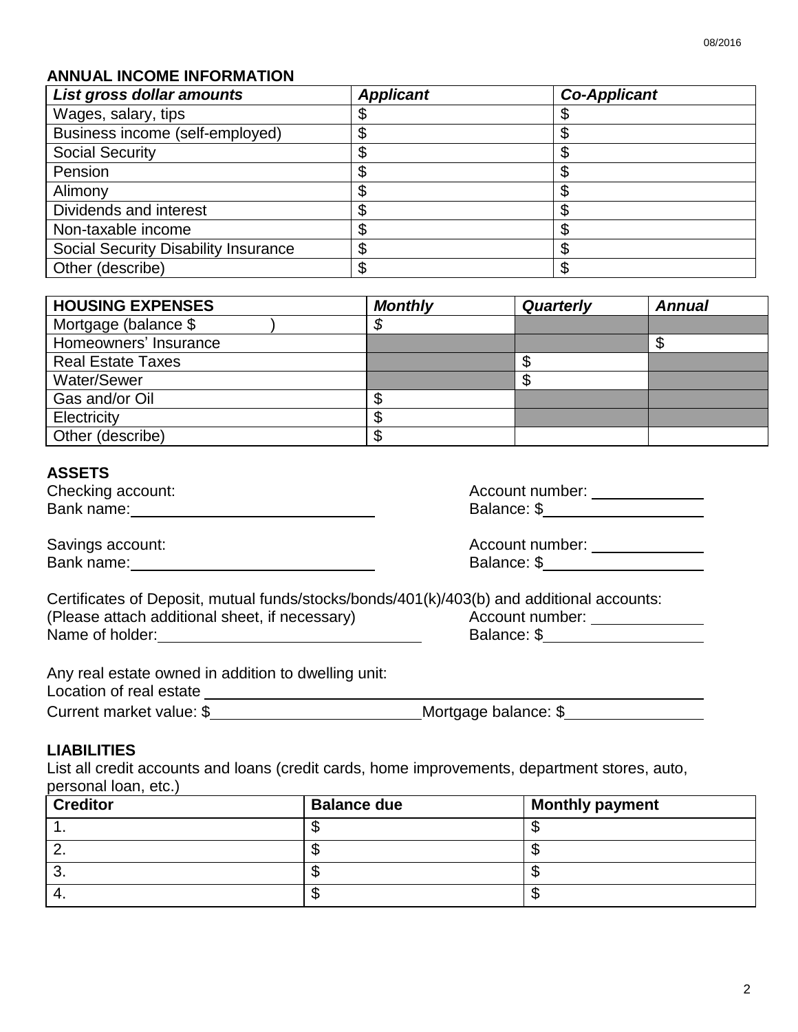## **ANNUAL INCOME INFORMATION**

| List gross dollar amounts            | <b>Applicant</b> | <b>Co-Applicant</b> |
|--------------------------------------|------------------|---------------------|
| Wages, salary, tips                  |                  |                     |
| Business income (self-employed)      |                  |                     |
| <b>Social Security</b>               |                  | \$                  |
| Pension                              |                  |                     |
| Alimony                              |                  |                     |
| Dividends and interest               |                  |                     |
| Non-taxable income                   |                  | \$                  |
| Social Security Disability Insurance |                  |                     |
| Other (describe)                     |                  | Φ                   |

| <b>HOUSING EXPENSES</b>  | <b>Monthly</b> | <b>Quarterly</b> | <b>Annual</b> |
|--------------------------|----------------|------------------|---------------|
| Mortgage (balance \$     | Φ              |                  |               |
| Homeowners' Insurance    |                |                  |               |
| <b>Real Estate Taxes</b> |                |                  |               |
| Water/Sewer              |                |                  |               |
| Gas and/or Oil           |                |                  |               |
| Electricity              |                |                  |               |
| Other (describe)         |                |                  |               |

## **ASSETS**

| Checking account: | Account number: |
|-------------------|-----------------|
| Bank name:        | Balance: \$     |

| Account number: |  |
|-----------------|--|
| Balance: \$     |  |

| Savings account: | Account number: |
|------------------|-----------------|
| Bank name:       | Balance: \$     |

| Account number: |  |
|-----------------|--|
| Balance: \$     |  |

| Certificates of Deposit, mutual funds/stocks/bonds/401(k)/403(b) and additional accounts: |                 |
|-------------------------------------------------------------------------------------------|-----------------|
| (Please attach additional sheet, if necessary)                                            | Account number: |
| Name of holder:                                                                           | Balance: \$     |

Any real estate owned in addition to dwelling unit:

Location of real estate **Location of real estate** 

# **LIABILITIES**

List all credit accounts and loans (credit cards, home improvements, department stores, auto, personal loan, etc.)

| <b>Creditor</b> | <b>Balance due</b> | <b>Monthly payment</b> |
|-----------------|--------------------|------------------------|
|                 |                    |                        |
|                 |                    |                        |
| U.              |                    |                        |
|                 |                    | 31                     |